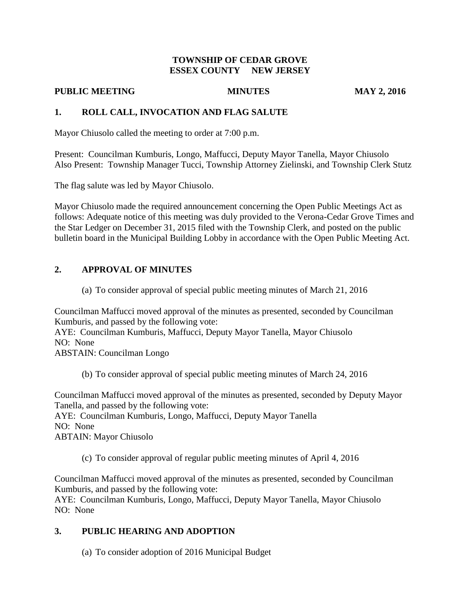## **TOWNSHIP OF CEDAR GROVE ESSEX COUNTY NEW JERSEY**

### **PUBLIC MEETING MINUTES MINUTES** MAY 2, 2016

# **1. ROLL CALL, INVOCATION AND FLAG SALUTE**

Mayor Chiusolo called the meeting to order at 7:00 p.m.

Present: Councilman Kumburis, Longo, Maffucci, Deputy Mayor Tanella, Mayor Chiusolo Also Present: Township Manager Tucci, Township Attorney Zielinski, and Township Clerk Stutz

The flag salute was led by Mayor Chiusolo.

Mayor Chiusolo made the required announcement concerning the Open Public Meetings Act as follows: Adequate notice of this meeting was duly provided to the Verona-Cedar Grove Times and the Star Ledger on December 31, 2015 filed with the Township Clerk, and posted on the public bulletin board in the Municipal Building Lobby in accordance with the Open Public Meeting Act.

# **2. APPROVAL OF MINUTES**

(a) To consider approval of special public meeting minutes of March 21, 2016

Councilman Maffucci moved approval of the minutes as presented, seconded by Councilman Kumburis, and passed by the following vote:

AYE: Councilman Kumburis, Maffucci, Deputy Mayor Tanella, Mayor Chiusolo NO: None

ABSTAIN: Councilman Longo

(b) To consider approval of special public meeting minutes of March 24, 2016

Councilman Maffucci moved approval of the minutes as presented, seconded by Deputy Mayor Tanella, and passed by the following vote: AYE: Councilman Kumburis, Longo, Maffucci, Deputy Mayor Tanella NO: None

ABTAIN: Mayor Chiusolo

(c) To consider approval of regular public meeting minutes of April 4, 2016

Councilman Maffucci moved approval of the minutes as presented, seconded by Councilman Kumburis, and passed by the following vote:

AYE: Councilman Kumburis, Longo, Maffucci, Deputy Mayor Tanella, Mayor Chiusolo NO: None

# **3. PUBLIC HEARING AND ADOPTION**

(a) To consider adoption of 2016 Municipal Budget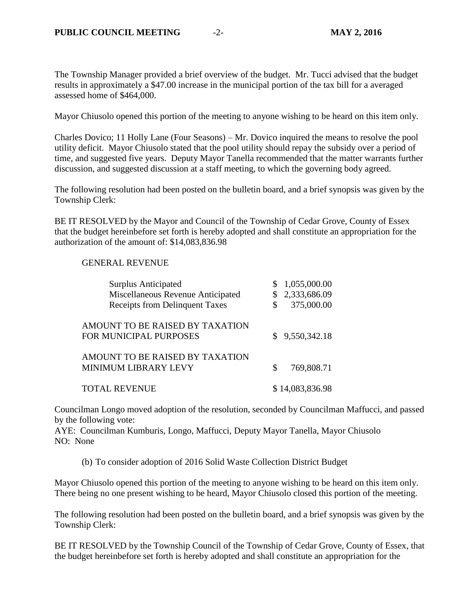The Township Manager provided a brief overview of the budget. Mr. Tucci advised that the budget results in approximately a \$47.00 increase in the municipal portion of the tax bill for a averaged assessed home of \$464,000.

Mayor Chiusolo opened this portion of the meeting to anyone wishing to be heard on this item only.

Charles Dovico; 11 Holly Lane (Four Seasons) – Mr. Dovico inquired the means to resolve the pool utility deficit. Mayor Chiusolo stated that the pool utility should repay the subsidy over a period of time, and suggested five years. Deputy Mayor Tanella recommended that the matter warrants further discussion, and suggested discussion at a staff meeting, to which the governing body agreed.

The following resolution had been posted on the bulletin board, and a brief synopsis was given by the Township Clerk:

BE IT RESOLVED by the Mayor and Council of the Township of Cedar Grove, County of Essex that the budget hereinbefore set forth is hereby adopted and shall constitute an appropriation for the authorization of the amount of: \$14,083,836.98

### GENERAL REVENUE

| <b>Surplus Anticipated</b>                                |    | 1,055,000.00    |
|-----------------------------------------------------------|----|-----------------|
| Miscellaneous Revenue Anticipated                         |    | 2,333,686.09    |
| <b>Receipts from Delinquent Taxes</b>                     | \$ | 375,000.00      |
| AMOUNT TO BE RAISED BY TAXATION<br>FOR MUNICIPAL PURPOSES |    | \$9,550,342.18  |
| AMOUNT TO BE RAISED BY TAXATION<br>MINIMUM LIBRARY LEVY   | S  | 769,808.71      |
| <b>TOTAL REVENUE</b>                                      |    | \$14,083,836.98 |

Councilman Longo moved adoption of the resolution, seconded by Councilman Maffucci, and passed by the following vote:

AYE: Councilman Kumburis, Longo, Maffucci, Deputy Mayor Tanella, Mayor Chiusolo NO: None

(b) To consider adoption of 2016 Solid Waste Collection District Budget

Mayor Chiusolo opened this portion of the meeting to anyone wishing to be heard on this item only. There being no one present wishing to be heard, Mayor Chiusolo closed this portion of the meeting.

The following resolution had been posted on the bulletin board, and a brief synopsis was given by the Township Clerk:

BE IT RESOLVED by the Township Council of the Township of Cedar Grove, County of Essex, that the budget hereinbefore set forth is hereby adopted and shall constitute an appropriation for the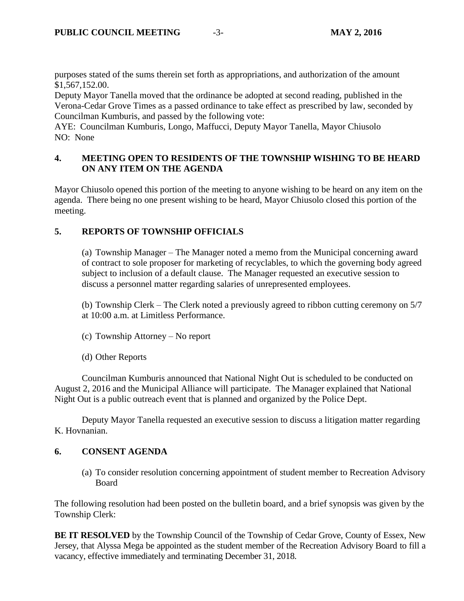purposes stated of the sums therein set forth as appropriations, and authorization of the amount \$1,567,152.00.

Deputy Mayor Tanella moved that the ordinance be adopted at second reading, published in the Verona-Cedar Grove Times as a passed ordinance to take effect as prescribed by law, seconded by Councilman Kumburis, and passed by the following vote:

AYE: Councilman Kumburis, Longo, Maffucci, Deputy Mayor Tanella, Mayor Chiusolo NO: None

# **4. MEETING OPEN TO RESIDENTS OF THE TOWNSHIP WISHING TO BE HEARD ON ANY ITEM ON THE AGENDA**

Mayor Chiusolo opened this portion of the meeting to anyone wishing to be heard on any item on the agenda. There being no one present wishing to be heard, Mayor Chiusolo closed this portion of the meeting.

# **5. REPORTS OF TOWNSHIP OFFICIALS**

(a) Township Manager – The Manager noted a memo from the Municipal concerning award of contract to sole proposer for marketing of recyclables, to which the governing body agreed subject to inclusion of a default clause. The Manager requested an executive session to discuss a personnel matter regarding salaries of unrepresented employees.

(b) Township Clerk – The Clerk noted a previously agreed to ribbon cutting ceremony on 5/7 at 10:00 a.m. at Limitless Performance.

- (c) Township Attorney No report
- (d) Other Reports

Councilman Kumburis announced that National Night Out is scheduled to be conducted on August 2, 2016 and the Municipal Alliance will participate. The Manager explained that National Night Out is a public outreach event that is planned and organized by the Police Dept.

Deputy Mayor Tanella requested an executive session to discuss a litigation matter regarding K. Hovnanian.

## **6. CONSENT AGENDA**

(a) To consider resolution concerning appointment of student member to Recreation Advisory Board

The following resolution had been posted on the bulletin board, and a brief synopsis was given by the Township Clerk:

**BE IT RESOLVED** by the Township Council of the Township of Cedar Grove, County of Essex, New Jersey, that Alyssa Mega be appointed as the student member of the Recreation Advisory Board to fill a vacancy, effective immediately and terminating December 31, 2018.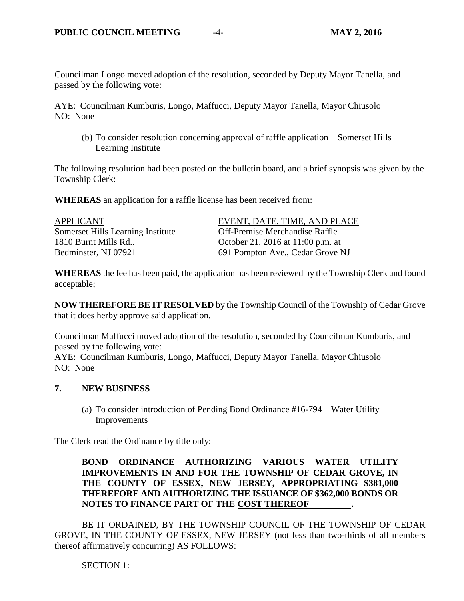Councilman Longo moved adoption of the resolution, seconded by Deputy Mayor Tanella, and passed by the following vote:

AYE: Councilman Kumburis, Longo, Maffucci, Deputy Mayor Tanella, Mayor Chiusolo NO: None

(b) To consider resolution concerning approval of raffle application – Somerset Hills Learning Institute

The following resolution had been posted on the bulletin board, and a brief synopsis was given by the Township Clerk:

**WHEREAS** an application for a raffle license has been received from:

| <b>APPLICANT</b>                  | EVENT, DATE, TIME, AND PLACE      |
|-----------------------------------|-----------------------------------|
| Somerset Hills Learning Institute | Off-Premise Merchandise Raffle    |
| 1810 Burnt Mills Rd               | October 21, 2016 at 11:00 p.m. at |
| Bedminster, NJ 07921              | 691 Pompton Ave., Cedar Grove NJ  |

**WHEREAS** the fee has been paid, the application has been reviewed by the Township Clerk and found acceptable;

**NOW THEREFORE BE IT RESOLVED** by the Township Council of the Township of Cedar Grove that it does herby approve said application.

Councilman Maffucci moved adoption of the resolution, seconded by Councilman Kumburis, and passed by the following vote:

AYE: Councilman Kumburis, Longo, Maffucci, Deputy Mayor Tanella, Mayor Chiusolo NO: None

## **7. NEW BUSINESS**

(a) To consider introduction of Pending Bond Ordinance #16-794 – Water Utility Improvements

The Clerk read the Ordinance by title only:

**BOND ORDINANCE AUTHORIZING VARIOUS WATER UTILITY IMPROVEMENTS IN AND FOR THE TOWNSHIP OF CEDAR GROVE, IN THE COUNTY OF ESSEX, NEW JERSEY, APPROPRIATING \$381,000 THEREFORE AND AUTHORIZING THE ISSUANCE OF \$362,000 BONDS OR NOTES TO FINANCE PART OF THE COST THEREOF .**

BE IT ORDAINED, BY THE TOWNSHIP COUNCIL OF THE TOWNSHIP OF CEDAR GROVE, IN THE COUNTY OF ESSEX, NEW JERSEY (not less than two-thirds of all members thereof affirmatively concurring) AS FOLLOWS:

SECTION 1: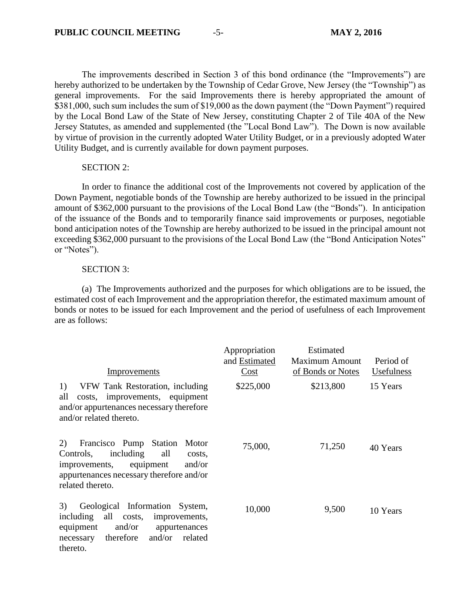The improvements described in Section 3 of this bond ordinance (the "Improvements") are hereby authorized to be undertaken by the Township of Cedar Grove, New Jersey (the "Township") as general improvements. For the said Improvements there is hereby appropriated the amount of \$381,000, such sum includes the sum of \$19,000 as the down payment (the "Down Payment") required by the Local Bond Law of the State of New Jersey, constituting Chapter 2 of Tile 40A of the New Jersey Statutes, as amended and supplemented (the "Local Bond Law"). The Down is now available by virtue of provision in the currently adopted Water Utility Budget, or in a previously adopted Water Utility Budget, and is currently available for down payment purposes.

### SECTION 2:

In order to finance the additional cost of the Improvements not covered by application of the Down Payment, negotiable bonds of the Township are hereby authorized to be issued in the principal amount of \$362,000 pursuant to the provisions of the Local Bond Law (the "Bonds"). In anticipation of the issuance of the Bonds and to temporarily finance said improvements or purposes, negotiable bond anticipation notes of the Township are hereby authorized to be issued in the principal amount not exceeding \$362,000 pursuant to the provisions of the Local Bond Law (the "Bond Anticipation Notes" or "Notes").

#### SECTION 3:

(a) The Improvements authorized and the purposes for which obligations are to be issued, the estimated cost of each Improvement and the appropriation therefor, the estimated maximum amount of bonds or notes to be issued for each Improvement and the period of usefulness of each Improvement are as follows:

| Improvements                                                                                                                                                                           | Appropriation<br>and Estimated<br>Cost | Estimated<br><b>Maximum Amount</b><br>of Bonds or Notes | Period of<br>Usefulness |
|----------------------------------------------------------------------------------------------------------------------------------------------------------------------------------------|----------------------------------------|---------------------------------------------------------|-------------------------|
| 1)<br>VFW Tank Restoration, including<br>all<br>costs, improvements, equipment<br>and/or appurtenances necessary therefore<br>and/or related thereto.                                  | \$225,000                              | \$213,800                                               | 15 Years                |
| 2)<br>Francisco Pump Station Motor<br>including<br>all<br>Controls,<br>costs,<br>and/or<br>equipment<br>improvements,<br>appurtenances necessary therefore and/or<br>related thereto.  | 75,000,                                | 71,250                                                  | 40 Years                |
| Geological Information System,<br>3)<br>including<br>all<br>costs,<br>improvements,<br>and/or<br>equipment<br>appurtenances<br>and/or<br>therefore<br>related<br>necessary<br>thereto. | 10,000                                 | 9,500                                                   | 10 Years                |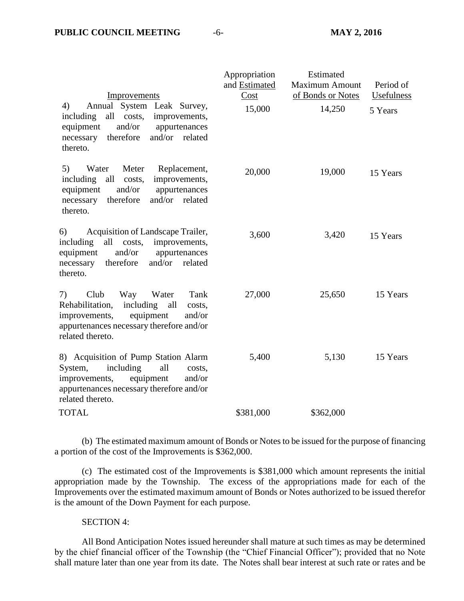|                                                                                                                                                                                             | Appropriation<br>and Estimated | Estimated<br>Maximum Amount | Period of  |
|---------------------------------------------------------------------------------------------------------------------------------------------------------------------------------------------|--------------------------------|-----------------------------|------------|
| Improvements                                                                                                                                                                                | Cost                           | of Bonds or Notes           | Usefulness |
| Annual System Leak Survey,<br>4)<br>all costs,<br>including<br>improvements,<br>and/or<br>equipment<br>appurtenances<br>therefore<br>and/or<br>related<br>necessary<br>thereto.             | 15,000                         | 14,250                      | 5 Years    |
| 5)<br>Replacement,<br>Water<br>Meter<br>including<br>all<br>improvements,<br>costs,<br>and/or<br>appurtenances<br>equipment<br>therefore<br>and/or related<br>necessary<br>thereto.         | 20,000                         | 19,000                      | 15 Years   |
| Acquisition of Landscape Trailer,<br>6)<br>all costs,<br>including<br>improvements,<br>and/or<br>equipment<br>appurtenances<br>therefore<br>necessary<br>and/or<br>related<br>thereto.      | 3,600                          | 3,420                       | 15 Years   |
| Club<br>7)<br>Way<br>Water<br>Tank<br>Rehabilitation,<br>including<br>all<br>costs,<br>equipment<br>improvements,<br>and/or<br>appurtenances necessary therefore and/or<br>related thereto. | 27,000                         | 25,650                      | 15 Years   |
| 8) Acquisition of Pump Station Alarm<br>including<br>all<br>System,<br>costs,<br>equipment<br>improvements,<br>and/or<br>appurtenances necessary therefore and/or<br>related thereto.       | 5,400                          | 5,130                       | 15 Years   |
| <b>TOTAL</b>                                                                                                                                                                                | \$381,000                      | \$362,000                   |            |

(b) The estimated maximum amount of Bonds or Notes to be issued for the purpose of financing a portion of the cost of the Improvements is \$362,000.

(c) The estimated cost of the Improvements is \$381,000 which amount represents the initial appropriation made by the Township. The excess of the appropriations made for each of the Improvements over the estimated maximum amount of Bonds or Notes authorized to be issued therefor is the amount of the Down Payment for each purpose.

SECTION 4:

All Bond Anticipation Notes issued hereunder shall mature at such times as may be determined by the chief financial officer of the Township (the "Chief Financial Officer"); provided that no Note shall mature later than one year from its date. The Notes shall bear interest at such rate or rates and be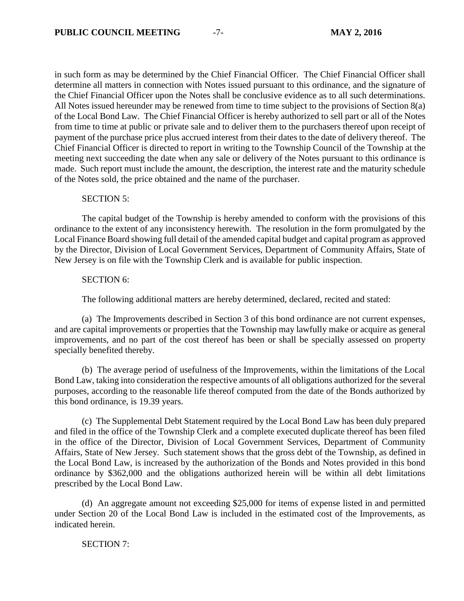in such form as may be determined by the Chief Financial Officer. The Chief Financial Officer shall determine all matters in connection with Notes issued pursuant to this ordinance, and the signature of the Chief Financial Officer upon the Notes shall be conclusive evidence as to all such determinations. All Notes issued hereunder may be renewed from time to time subject to the provisions of Section 8(a) of the Local Bond Law. The Chief Financial Officer is hereby authorized to sell part or all of the Notes from time to time at public or private sale and to deliver them to the purchasers thereof upon receipt of payment of the purchase price plus accrued interest from their dates to the date of delivery thereof. The Chief Financial Officer is directed to report in writing to the Township Council of the Township at the meeting next succeeding the date when any sale or delivery of the Notes pursuant to this ordinance is made. Such report must include the amount, the description, the interest rate and the maturity schedule of the Notes sold, the price obtained and the name of the purchaser.

#### SECTION 5:

The capital budget of the Township is hereby amended to conform with the provisions of this ordinance to the extent of any inconsistency herewith. The resolution in the form promulgated by the Local Finance Board showing full detail of the amended capital budget and capital program as approved by the Director, Division of Local Government Services, Department of Community Affairs, State of New Jersey is on file with the Township Clerk and is available for public inspection.

### SECTION 6:

The following additional matters are hereby determined, declared, recited and stated:

(a) The Improvements described in Section 3 of this bond ordinance are not current expenses, and are capital improvements or properties that the Township may lawfully make or acquire as general improvements, and no part of the cost thereof has been or shall be specially assessed on property specially benefited thereby.

(b) The average period of usefulness of the Improvements, within the limitations of the Local Bond Law, taking into consideration the respective amounts of all obligations authorized for the several purposes, according to the reasonable life thereof computed from the date of the Bonds authorized by this bond ordinance, is 19.39 years.

(c) The Supplemental Debt Statement required by the Local Bond Law has been duly prepared and filed in the office of the Township Clerk and a complete executed duplicate thereof has been filed in the office of the Director, Division of Local Government Services, Department of Community Affairs, State of New Jersey. Such statement shows that the gross debt of the Township, as defined in the Local Bond Law, is increased by the authorization of the Bonds and Notes provided in this bond ordinance by \$362,000 and the obligations authorized herein will be within all debt limitations prescribed by the Local Bond Law.

(d) An aggregate amount not exceeding \$25,000 for items of expense listed in and permitted under Section 20 of the Local Bond Law is included in the estimated cost of the Improvements, as indicated herein.

SECTION 7: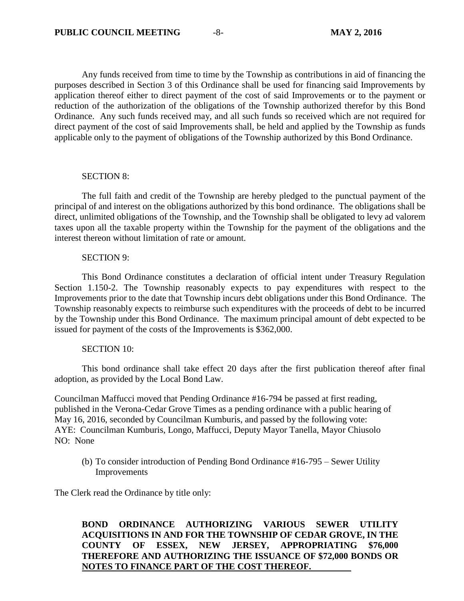Any funds received from time to time by the Township as contributions in aid of financing the purposes described in Section 3 of this Ordinance shall be used for financing said Improvements by application thereof either to direct payment of the cost of said Improvements or to the payment or reduction of the authorization of the obligations of the Township authorized therefor by this Bond Ordinance. Any such funds received may, and all such funds so received which are not required for direct payment of the cost of said Improvements shall, be held and applied by the Township as funds applicable only to the payment of obligations of the Township authorized by this Bond Ordinance.

#### SECTION 8:

The full faith and credit of the Township are hereby pledged to the punctual payment of the principal of and interest on the obligations authorized by this bond ordinance. The obligations shall be direct, unlimited obligations of the Township, and the Township shall be obligated to levy ad valorem taxes upon all the taxable property within the Township for the payment of the obligations and the interest thereon without limitation of rate or amount.

#### SECTION 9:

This Bond Ordinance constitutes a declaration of official intent under Treasury Regulation Section 1.150-2. The Township reasonably expects to pay expenditures with respect to the Improvements prior to the date that Township incurs debt obligations under this Bond Ordinance. The Township reasonably expects to reimburse such expenditures with the proceeds of debt to be incurred by the Township under this Bond Ordinance. The maximum principal amount of debt expected to be issued for payment of the costs of the Improvements is \$362,000.

#### SECTION 10:

This bond ordinance shall take effect 20 days after the first publication thereof after final adoption, as provided by the Local Bond Law.

Councilman Maffucci moved that Pending Ordinance #16-794 be passed at first reading, published in the Verona-Cedar Grove Times as a pending ordinance with a public hearing of May 16, 2016, seconded by Councilman Kumburis, and passed by the following vote: AYE: Councilman Kumburis, Longo, Maffucci, Deputy Mayor Tanella, Mayor Chiusolo NO: None

(b) To consider introduction of Pending Bond Ordinance #16-795 – Sewer Utility Improvements

The Clerk read the Ordinance by title only:

**BOND ORDINANCE AUTHORIZING VARIOUS SEWER UTILITY ACQUISITIONS IN AND FOR THE TOWNSHIP OF CEDAR GROVE, IN THE COUNTY OF ESSEX, NEW JERSEY, APPROPRIATING \$76,000 THEREFORE AND AUTHORIZING THE ISSUANCE OF \$72,000 BONDS OR NOTES TO FINANCE PART OF THE COST THEREOF.**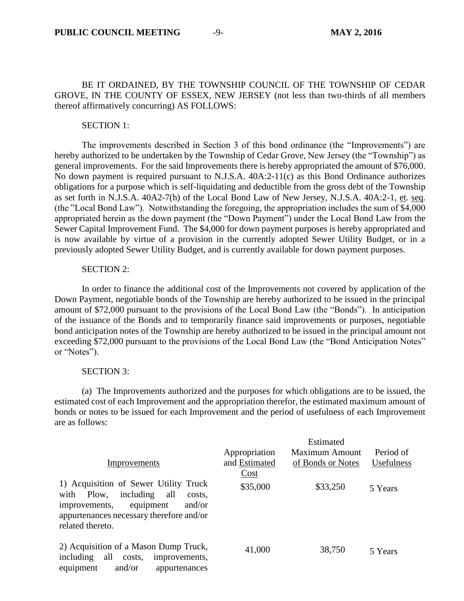# BE IT ORDAINED, BY THE TOWNSHIP COUNCIL OF THE TOWNSHIP OF CEDAR GROVE, IN THE COUNTY OF ESSEX, NEW JERSEY (not less than two-thirds of all members thereof affirmatively concurring) AS FOLLOWS:

### SECTION 1:

The improvements described in Section 3 of this bond ordinance (the "Improvements") are hereby authorized to be undertaken by the Township of Cedar Grove, New Jersey (the "Township") as general improvements. For the said Improvements there is hereby appropriated the amount of \$76,000. No down payment is required pursuant to N.J.S.A. 40A:2-11(c) as this Bond Ordinance authorizes obligations for a purpose which is self-liquidating and deductible from the gross debt of the Township as set forth in N.J.S.A. 40A2-7(h) of the Local Bond Law of New Jersey, N.J.S.A. 40A:2-1, et. seq. (the "Local Bond Law"). Notwithstanding the foregoing, the appropriation includes the sum of \$4,000 appropriated herein as the down payment (the "Down Payment") under the Local Bond Law from the Sewer Capital Improvement Fund. The \$4,000 for down payment purposes is hereby appropriated and is now available by virtue of a provision in the currently adopted Sewer Utility Budget, or in a previously adopted Sewer Utility Budget, and is currently available for down payment purposes.

#### SECTION 2:

In order to finance the additional cost of the Improvements not covered by application of the Down Payment, negotiable bonds of the Township are hereby authorized to be issued in the principal amount of \$72,000 pursuant to the provisions of the Local Bond Law (the "Bonds"). In anticipation of the issuance of the Bonds and to temporarily finance said improvements or purposes, negotiable bond anticipation notes of the Township are hereby authorized to be issued in the principal amount not exceeding \$72,000 pursuant to the provisions of the Local Bond Law (the "Bond Anticipation Notes" or "Notes").

#### SECTION 3:

(a) The Improvements authorized and the purposes for which obligations are to be issued, the estimated cost of each Improvement and the appropriation therefor, the estimated maximum amount of bonds or notes to be issued for each Improvement and the period of usefulness of each Improvement are as follows:

|                                                                                      |               | Estimated             |            |
|--------------------------------------------------------------------------------------|---------------|-----------------------|------------|
|                                                                                      | Appropriation | <b>Maximum Amount</b> | Period of  |
| Improvements                                                                         | and Estimated | of Bonds or Notes     | Usefulness |
|                                                                                      | Cost          |                       |            |
| 1) Acquisition of Sewer Utility Truck<br>including<br>Plow,<br>with<br>all<br>costs. | \$35,000      | \$33,250              | 5 Years    |
| equipment<br>and/or<br>improvements,<br>appurtenances necessary therefore and/or     |               |                       |            |
| related thereto.                                                                     |               |                       |            |
| 2) Acquisition of a Mason Dump Truck,<br>all<br>including<br>improvements,<br>costs, | 41,000        | 38,750                | 5 Years    |
| and/or<br>equipment<br>appurtenances                                                 |               |                       |            |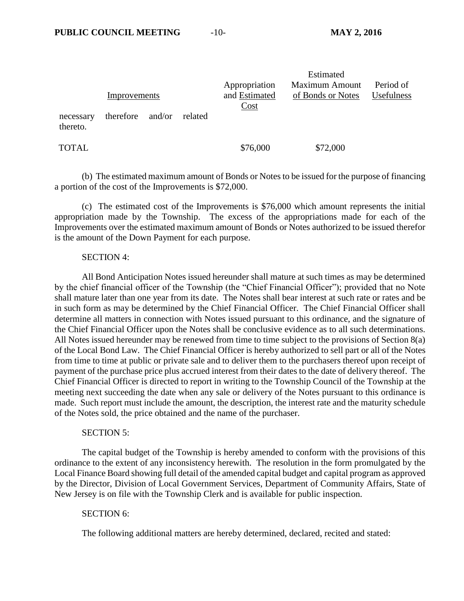|                       |              |        |         | Appropriation         | Estimated<br>Maximum Amount | Period of  |
|-----------------------|--------------|--------|---------|-----------------------|-----------------------------|------------|
|                       | Improvements |        |         | and Estimated<br>Cost | of Bonds or Notes           | Usefulness |
| necessary<br>thereto. | therefore    | and/or | related |                       |                             |            |
| <b>TOTAL</b>          |              |        |         | \$76,000              | \$72,000                    |            |

(b) The estimated maximum amount of Bonds or Notes to be issued for the purpose of financing a portion of the cost of the Improvements is \$72,000.

(c) The estimated cost of the Improvements is \$76,000 which amount represents the initial appropriation made by the Township. The excess of the appropriations made for each of the Improvements over the estimated maximum amount of Bonds or Notes authorized to be issued therefor is the amount of the Down Payment for each purpose.

#### SECTION 4:

All Bond Anticipation Notes issued hereunder shall mature at such times as may be determined by the chief financial officer of the Township (the "Chief Financial Officer"); provided that no Note shall mature later than one year from its date. The Notes shall bear interest at such rate or rates and be in such form as may be determined by the Chief Financial Officer. The Chief Financial Officer shall determine all matters in connection with Notes issued pursuant to this ordinance, and the signature of the Chief Financial Officer upon the Notes shall be conclusive evidence as to all such determinations. All Notes issued hereunder may be renewed from time to time subject to the provisions of Section 8(a) of the Local Bond Law. The Chief Financial Officer is hereby authorized to sell part or all of the Notes from time to time at public or private sale and to deliver them to the purchasers thereof upon receipt of payment of the purchase price plus accrued interest from their dates to the date of delivery thereof. The Chief Financial Officer is directed to report in writing to the Township Council of the Township at the meeting next succeeding the date when any sale or delivery of the Notes pursuant to this ordinance is made. Such report must include the amount, the description, the interest rate and the maturity schedule of the Notes sold, the price obtained and the name of the purchaser.

#### SECTION 5:

The capital budget of the Township is hereby amended to conform with the provisions of this ordinance to the extent of any inconsistency herewith. The resolution in the form promulgated by the Local Finance Board showing full detail of the amended capital budget and capital program as approved by the Director, Division of Local Government Services, Department of Community Affairs, State of New Jersey is on file with the Township Clerk and is available for public inspection.

## SECTION 6:

The following additional matters are hereby determined, declared, recited and stated: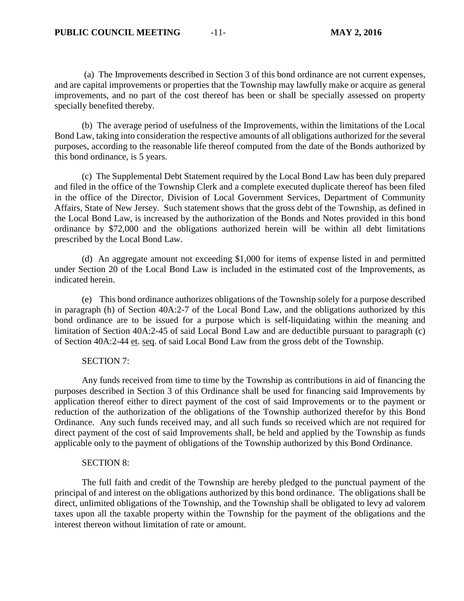(a) The Improvements described in Section 3 of this bond ordinance are not current expenses, and are capital improvements or properties that the Township may lawfully make or acquire as general improvements, and no part of the cost thereof has been or shall be specially assessed on property specially benefited thereby.

(b) The average period of usefulness of the Improvements, within the limitations of the Local Bond Law, taking into consideration the respective amounts of all obligations authorized for the several purposes, according to the reasonable life thereof computed from the date of the Bonds authorized by this bond ordinance, is 5 years.

(c) The Supplemental Debt Statement required by the Local Bond Law has been duly prepared and filed in the office of the Township Clerk and a complete executed duplicate thereof has been filed in the office of the Director, Division of Local Government Services, Department of Community Affairs, State of New Jersey. Such statement shows that the gross debt of the Township, as defined in the Local Bond Law, is increased by the authorization of the Bonds and Notes provided in this bond ordinance by \$72,000 and the obligations authorized herein will be within all debt limitations prescribed by the Local Bond Law.

(d) An aggregate amount not exceeding \$1,000 for items of expense listed in and permitted under Section 20 of the Local Bond Law is included in the estimated cost of the Improvements, as indicated herein.

(e) This bond ordinance authorizes obligations of the Township solely for a purpose described in paragraph (h) of Section 40A:2-7 of the Local Bond Law, and the obligations authorized by this bond ordinance are to be issued for a purpose which is self-liquidating within the meaning and limitation of Section 40A:2-45 of said Local Bond Law and are deductible pursuant to paragraph (c) of Section 40A:2-44 et. seq. of said Local Bond Law from the gross debt of the Township.

#### SECTION 7:

Any funds received from time to time by the Township as contributions in aid of financing the purposes described in Section 3 of this Ordinance shall be used for financing said Improvements by application thereof either to direct payment of the cost of said Improvements or to the payment or reduction of the authorization of the obligations of the Township authorized therefor by this Bond Ordinance. Any such funds received may, and all such funds so received which are not required for direct payment of the cost of said Improvements shall, be held and applied by the Township as funds applicable only to the payment of obligations of the Township authorized by this Bond Ordinance.

## SECTION 8:

The full faith and credit of the Township are hereby pledged to the punctual payment of the principal of and interest on the obligations authorized by this bond ordinance. The obligations shall be direct, unlimited obligations of the Township, and the Township shall be obligated to levy ad valorem taxes upon all the taxable property within the Township for the payment of the obligations and the interest thereon without limitation of rate or amount.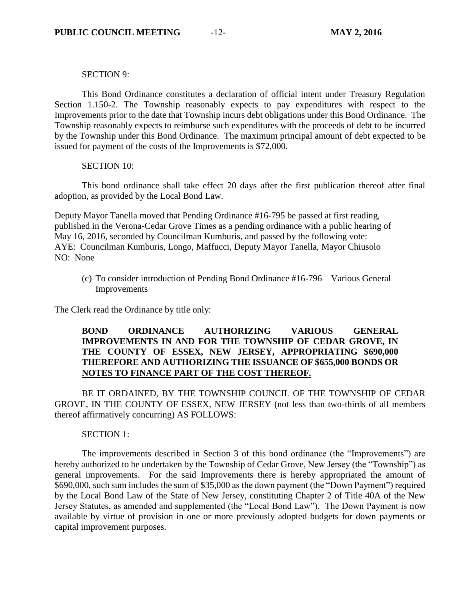SECTION 9:

This Bond Ordinance constitutes a declaration of official intent under Treasury Regulation Section 1.150-2. The Township reasonably expects to pay expenditures with respect to the Improvements prior to the date that Township incurs debt obligations under this Bond Ordinance. The Township reasonably expects to reimburse such expenditures with the proceeds of debt to be incurred by the Township under this Bond Ordinance. The maximum principal amount of debt expected to be issued for payment of the costs of the Improvements is \$72,000.

#### SECTION 10:

This bond ordinance shall take effect 20 days after the first publication thereof after final adoption, as provided by the Local Bond Law.

Deputy Mayor Tanella moved that Pending Ordinance #16-795 be passed at first reading, published in the Verona-Cedar Grove Times as a pending ordinance with a public hearing of May 16, 2016, seconded by Councilman Kumburis, and passed by the following vote: AYE: Councilman Kumburis, Longo, Maffucci, Deputy Mayor Tanella, Mayor Chiusolo NO: None

(c) To consider introduction of Pending Bond Ordinance #16-796 – Various General Improvements

The Clerk read the Ordinance by title only:

## **BOND ORDINANCE AUTHORIZING VARIOUS GENERAL IMPROVEMENTS IN AND FOR THE TOWNSHIP OF CEDAR GROVE, IN THE COUNTY OF ESSEX, NEW JERSEY, APPROPRIATING \$690,000 THEREFORE AND AUTHORIZING THE ISSUANCE OF \$655,000 BONDS OR NOTES TO FINANCE PART OF THE COST THEREOF.**

BE IT ORDAINED, BY THE TOWNSHIP COUNCIL OF THE TOWNSHIP OF CEDAR GROVE, IN THE COUNTY OF ESSEX, NEW JERSEY (not less than two-thirds of all members thereof affirmatively concurring) AS FOLLOWS:

#### SECTION 1:

The improvements described in Section 3 of this bond ordinance (the "Improvements") are hereby authorized to be undertaken by the Township of Cedar Grove, New Jersey (the "Township") as general improvements. For the said Improvements there is hereby appropriated the amount of \$690,000, such sum includes the sum of \$35,000 as the down payment (the "Down Payment") required by the Local Bond Law of the State of New Jersey, constituting Chapter 2 of Title 40A of the New Jersey Statutes, as amended and supplemented (the "Local Bond Law"). The Down Payment is now available by virtue of provision in one or more previously adopted budgets for down payments or capital improvement purposes.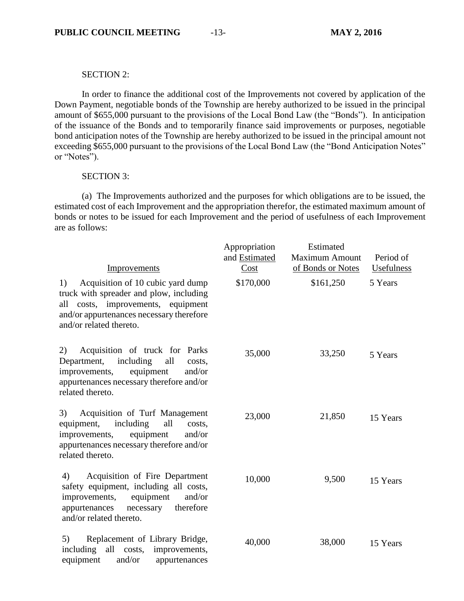#### SECTION 2:

In order to finance the additional cost of the Improvements not covered by application of the Down Payment, negotiable bonds of the Township are hereby authorized to be issued in the principal amount of \$655,000 pursuant to the provisions of the Local Bond Law (the "Bonds"). In anticipation of the issuance of the Bonds and to temporarily finance said improvements or purposes, negotiable bond anticipation notes of the Township are hereby authorized to be issued in the principal amount not exceeding \$655,000 pursuant to the provisions of the Local Bond Law (the "Bond Anticipation Notes" or "Notes").

#### SECTION 3:

(a) The Improvements authorized and the purposes for which obligations are to be issued, the estimated cost of each Improvement and the appropriation therefor, the estimated maximum amount of bonds or notes to be issued for each Improvement and the period of usefulness of each Improvement are as follows:

| <b>Improvements</b>                                                                                                                                                                                | Appropriation<br>and Estimated<br>Cost | Estimated<br><b>Maximum Amount</b><br>of Bonds or Notes | Period of<br>Usefulness |
|----------------------------------------------------------------------------------------------------------------------------------------------------------------------------------------------------|----------------------------------------|---------------------------------------------------------|-------------------------|
| Acquisition of 10 cubic yard dump<br>1)<br>truck with spreader and plow, including<br>costs, improvements, equipment<br>all<br>and/or appurtenances necessary therefore<br>and/or related thereto. | \$170,000                              | \$161,250                                               | 5 Years                 |
| Acquisition of truck for Parks<br>2)<br>including<br>Department,<br>all<br>costs,<br>improvements,<br>equipment<br>and/or<br>appurtenances necessary therefore and/or<br>related thereto.          | 35,000                                 | 33,250                                                  | 5 Years                 |
| Acquisition of Turf Management<br>3)<br>equipment,<br>including<br>all<br>costs,<br>equipment<br>and/or<br>improvements,<br>appurtenances necessary therefore and/or<br>related thereto.           | 23,000                                 | 21,850                                                  | 15 Years                |
| Acquisition of Fire Department<br>4)<br>safety equipment, including all costs,<br>improvements,<br>equipment<br>and/or<br>therefore<br>appurtenances<br>necessary<br>and/or related thereto.       | 10,000                                 | 9,500                                                   | 15 Years                |
| Replacement of Library Bridge,<br>5)<br>including<br>all<br>improvements,<br>costs,<br>and/or<br>equipment<br>appurtenances                                                                        | 40,000                                 | 38,000                                                  | 15 Years                |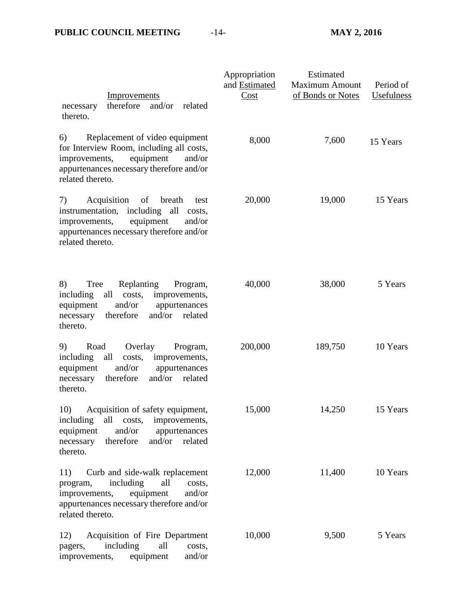| Improvements<br>therefore<br>and/or<br>related<br>necessary<br>thereto.                                                                                                                  | Appropriation<br>and Estimated<br>Cost | Estimated<br><b>Maximum Amount</b><br>of Bonds or Notes | Period of<br>Usefulness |
|------------------------------------------------------------------------------------------------------------------------------------------------------------------------------------------|----------------------------------------|---------------------------------------------------------|-------------------------|
| Replacement of video equipment<br>6)<br>for Interview Room, including all costs,<br>equipment<br>improvements,<br>and/or<br>appurtenances necessary therefore and/or<br>related thereto. | 8,000                                  | 7,600                                                   | 15 Years                |
| 7)<br>Acquisition of breath<br>test<br>instrumentation, including all<br>costs,<br>equipment<br>improvements,<br>and/or<br>appurtenances necessary therefore and/or<br>related thereto.  | 20,000                                 | 19,000                                                  | 15 Years                |
| Replanting<br>8)<br>Tree<br>Program,<br>including<br>all costs, improvements,<br>and/or<br>equipment<br>appurtenances<br>therefore<br>and/or<br>related<br>necessary<br>thereto.         | 40,000                                 | 38,000                                                  | 5 Years                 |
| 9)<br>Overlay<br>Program,<br>Road<br>including<br>all<br>costs,<br>improvements,<br>equipment<br>and/or<br>appurtenances<br>therefore<br>and/or<br>necessary<br>related<br>thereto.      | 200,000                                | 189,750                                                 | 10 Years                |
| 10) Acquisition of safety equipment,<br>including<br>all costs,<br>improvements,<br>equipment<br>and/or<br>appurtenances<br>therefore<br>necessary<br>and/or<br>related<br>thereto.      | 15,000                                 | 14,250                                                  | 15 Years                |
| Curb and side-walk replacement<br>11)<br>including<br>all<br>costs,<br>program,<br>equipment<br>and/or<br>improvements,<br>appurtenances necessary therefore and/or<br>related thereto.  | 12,000                                 | 11,400                                                  | 10 Years                |
| Acquisition of Fire Department<br>12)<br>including<br>all<br>costs,<br>pagers,<br>and/or<br>equipment<br>improvements,                                                                   | 10,000                                 | 9,500                                                   | 5 Years                 |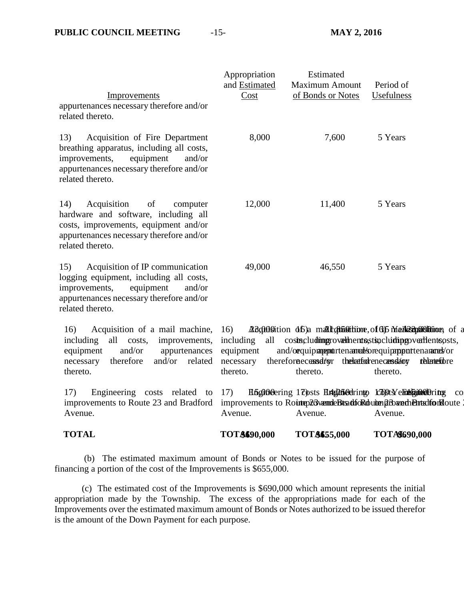| Improvements<br>appurtenances necessary therefore and/or<br>related thereto.                                                                                                               | Appropriation<br>and Estimated<br>Cost                 | Estimated<br><b>Maximum Amount</b><br>of Bonds or Notes    | Period of<br>Usefulness                                                                                                                                                                                       |
|--------------------------------------------------------------------------------------------------------------------------------------------------------------------------------------------|--------------------------------------------------------|------------------------------------------------------------|---------------------------------------------------------------------------------------------------------------------------------------------------------------------------------------------------------------|
| Acquisition of Fire Department<br>13)<br>breathing apparatus, including all costs,<br>equipment<br>improvements,<br>and/or<br>appurtenances necessary therefore and/or<br>related thereto. | 8,000                                                  | 7,600                                                      | 5 Years                                                                                                                                                                                                       |
| 14)<br>Acquisition<br>of<br>computer<br>hardware and software, including all<br>costs, improvements, equipment and/or<br>appurtenances necessary therefore and/or<br>related thereto.      | 12,000                                                 | 11,400                                                     | 5 Years                                                                                                                                                                                                       |
| Acquisition of IP communication<br>15)<br>logging equipment, including all costs,<br>equipment<br>improvements,<br>and/or<br>appurtenances necessary therefore and/or<br>related thereto.  | 49,000                                                 | 46,550                                                     | 5 Years                                                                                                                                                                                                       |
| Acquisition of a mail machine,<br>16)<br>including<br>all costs,<br>improvements,<br>and/or<br>equipment<br>appurtenances<br>and/or related<br>therefore<br>necessary<br>thereto.          | 16)<br>including<br>equipment<br>necessary<br>thereto. | therefore ceased for the latter here can slaoy<br>thereto. | Addition db)a mall chinitione, of db Marked philominen, of a<br>all cosincluding roval hentostiqual inprovements osts,<br>and/orguipanoputrtenannobsorequipapputtenananch/or<br><b>theatefore</b><br>thereto. |
| Engineering costs related to<br>17)<br>improvements to Route 23 and Bradford<br>Avenue.                                                                                                    | 17)<br>Avenue.                                         | Avenue.                                                    | Hostoleering 17 posts Hrtsphonedring Edists erits in addring co<br>improvements to Rointep26vandeBtsadtocRobutenp26oxednEntsdforRoute<br>Avenue.                                                              |
| <b>TOTAL</b>                                                                                                                                                                               | ТОТАФ90,000                                            | ТОТАБ55,000                                                | TOTA%590,000                                                                                                                                                                                                  |

(b) The estimated maximum amount of Bonds or Notes to be issued for the purpose of financing a portion of the cost of the Improvements is \$655,000.

(c) The estimated cost of the Improvements is \$690,000 which amount represents the initial appropriation made by the Township. The excess of the appropriations made for each of the Improvements over the estimated maximum amount of Bonds or Notes authorized to be issued therefor is the amount of the Down Payment for each purpose.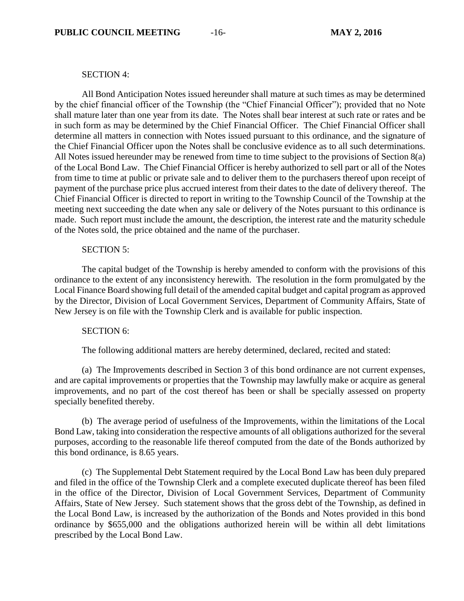#### SECTION 4:

All Bond Anticipation Notes issued hereunder shall mature at such times as may be determined by the chief financial officer of the Township (the "Chief Financial Officer"); provided that no Note shall mature later than one year from its date. The Notes shall bear interest at such rate or rates and be in such form as may be determined by the Chief Financial Officer. The Chief Financial Officer shall determine all matters in connection with Notes issued pursuant to this ordinance, and the signature of the Chief Financial Officer upon the Notes shall be conclusive evidence as to all such determinations. All Notes issued hereunder may be renewed from time to time subject to the provisions of Section 8(a) of the Local Bond Law. The Chief Financial Officer is hereby authorized to sell part or all of the Notes from time to time at public or private sale and to deliver them to the purchasers thereof upon receipt of payment of the purchase price plus accrued interest from their dates to the date of delivery thereof. The Chief Financial Officer is directed to report in writing to the Township Council of the Township at the meeting next succeeding the date when any sale or delivery of the Notes pursuant to this ordinance is made. Such report must include the amount, the description, the interest rate and the maturity schedule of the Notes sold, the price obtained and the name of the purchaser.

#### SECTION 5:

The capital budget of the Township is hereby amended to conform with the provisions of this ordinance to the extent of any inconsistency herewith. The resolution in the form promulgated by the Local Finance Board showing full detail of the amended capital budget and capital program as approved by the Director, Division of Local Government Services, Department of Community Affairs, State of New Jersey is on file with the Township Clerk and is available for public inspection.

### SECTION 6:

The following additional matters are hereby determined, declared, recited and stated:

(a) The Improvements described in Section 3 of this bond ordinance are not current expenses, and are capital improvements or properties that the Township may lawfully make or acquire as general improvements, and no part of the cost thereof has been or shall be specially assessed on property specially benefited thereby.

(b) The average period of usefulness of the Improvements, within the limitations of the Local Bond Law, taking into consideration the respective amounts of all obligations authorized for the several purposes, according to the reasonable life thereof computed from the date of the Bonds authorized by this bond ordinance, is 8.65 years.

(c) The Supplemental Debt Statement required by the Local Bond Law has been duly prepared and filed in the office of the Township Clerk and a complete executed duplicate thereof has been filed in the office of the Director, Division of Local Government Services, Department of Community Affairs, State of New Jersey. Such statement shows that the gross debt of the Township, as defined in the Local Bond Law, is increased by the authorization of the Bonds and Notes provided in this bond ordinance by \$655,000 and the obligations authorized herein will be within all debt limitations prescribed by the Local Bond Law.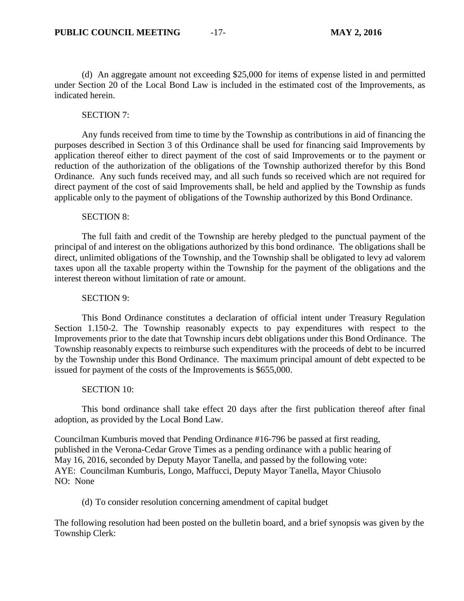(d) An aggregate amount not exceeding \$25,000 for items of expense listed in and permitted under Section 20 of the Local Bond Law is included in the estimated cost of the Improvements, as indicated herein.

### SECTION 7:

Any funds received from time to time by the Township as contributions in aid of financing the purposes described in Section 3 of this Ordinance shall be used for financing said Improvements by application thereof either to direct payment of the cost of said Improvements or to the payment or reduction of the authorization of the obligations of the Township authorized therefor by this Bond Ordinance. Any such funds received may, and all such funds so received which are not required for direct payment of the cost of said Improvements shall, be held and applied by the Township as funds applicable only to the payment of obligations of the Township authorized by this Bond Ordinance.

#### SECTION 8:

The full faith and credit of the Township are hereby pledged to the punctual payment of the principal of and interest on the obligations authorized by this bond ordinance. The obligations shall be direct, unlimited obligations of the Township, and the Township shall be obligated to levy ad valorem taxes upon all the taxable property within the Township for the payment of the obligations and the interest thereon without limitation of rate or amount.

### SECTION 9:

This Bond Ordinance constitutes a declaration of official intent under Treasury Regulation Section 1.150-2. The Township reasonably expects to pay expenditures with respect to the Improvements prior to the date that Township incurs debt obligations under this Bond Ordinance. The Township reasonably expects to reimburse such expenditures with the proceeds of debt to be incurred by the Township under this Bond Ordinance. The maximum principal amount of debt expected to be issued for payment of the costs of the Improvements is \$655,000.

## SECTION 10:

This bond ordinance shall take effect 20 days after the first publication thereof after final adoption, as provided by the Local Bond Law.

Councilman Kumburis moved that Pending Ordinance #16-796 be passed at first reading, published in the Verona-Cedar Grove Times as a pending ordinance with a public hearing of May 16, 2016, seconded by Deputy Mayor Tanella, and passed by the following vote: AYE: Councilman Kumburis, Longo, Maffucci, Deputy Mayor Tanella, Mayor Chiusolo NO: None

(d) To consider resolution concerning amendment of capital budget

The following resolution had been posted on the bulletin board, and a brief synopsis was given by the Township Clerk: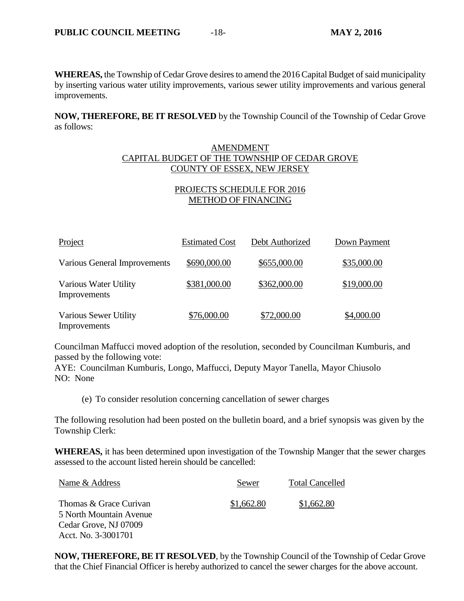**WHEREAS,** the Township of Cedar Grove desires to amend the 2016 Capital Budget of said municipality by inserting various water utility improvements, various sewer utility improvements and various general improvements.

**NOW, THEREFORE, BE IT RESOLVED** by the Township Council of the Township of Cedar Grove as follows:

## AMENDMENT CAPITAL BUDGET OF THE TOWNSHIP OF CEDAR GROVE COUNTY OF ESSEX, NEW JERSEY

# PROJECTS SCHEDULE FOR 2016 METHOD OF FINANCING

| Project                               | <b>Estimated Cost</b> | Debt Authorized | Down Payment |
|---------------------------------------|-----------------------|-----------------|--------------|
| Various General Improvements          | \$690,000.00          | \$655,000.00    | \$35,000.00  |
| Various Water Utility<br>Improvements | \$381,000.00          | \$362,000.00    | \$19,000.00  |
| Various Sewer Utility<br>Improvements | \$76,000.00           | \$72,000.00     | \$4,000.00   |

Councilman Maffucci moved adoption of the resolution, seconded by Councilman Kumburis, and passed by the following vote:

AYE: Councilman Kumburis, Longo, Maffucci, Deputy Mayor Tanella, Mayor Chiusolo NO: None

(e) To consider resolution concerning cancellation of sewer charges

The following resolution had been posted on the bulletin board, and a brief synopsis was given by the Township Clerk:

**WHEREAS,** it has been determined upon investigation of the Township Manger that the sewer charges assessed to the account listed herein should be cancelled:

| Name & Address          | Sewer      | <b>Total Cancelled</b> |
|-------------------------|------------|------------------------|
| Thomas & Grace Curivan  | \$1,662.80 | \$1,662.80             |
| 5 North Mountain Avenue |            |                        |
| Cedar Grove, NJ 07009   |            |                        |
| Acct. No. 3-3001701     |            |                        |

**NOW, THEREFORE, BE IT RESOLVED**, by the Township Council of the Township of Cedar Grove that the Chief Financial Officer is hereby authorized to cancel the sewer charges for the above account.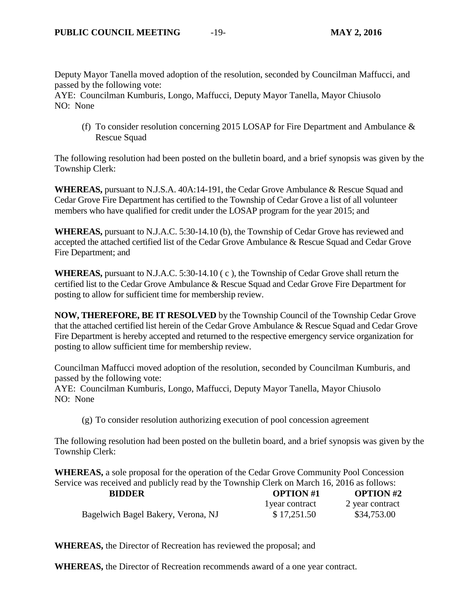Deputy Mayor Tanella moved adoption of the resolution, seconded by Councilman Maffucci, and passed by the following vote:

AYE: Councilman Kumburis, Longo, Maffucci, Deputy Mayor Tanella, Mayor Chiusolo NO: None

(f) To consider resolution concerning 2015 LOSAP for Fire Department and Ambulance  $\&$ Rescue Squad

The following resolution had been posted on the bulletin board, and a brief synopsis was given by the Township Clerk:

**WHEREAS,** pursuant to N.J.S.A. 40A:14-191, the Cedar Grove Ambulance & Rescue Squad and Cedar Grove Fire Department has certified to the Township of Cedar Grove a list of all volunteer members who have qualified for credit under the LOSAP program for the year 2015; and

**WHEREAS,** pursuant to N.J.A.C. 5:30-14.10 (b), the Township of Cedar Grove has reviewed and accepted the attached certified list of the Cedar Grove Ambulance & Rescue Squad and Cedar Grove Fire Department; and

**WHEREAS,** pursuant to N.J.A.C. 5:30-14.10 ( c ), the Township of Cedar Grove shall return the certified list to the Cedar Grove Ambulance & Rescue Squad and Cedar Grove Fire Department for posting to allow for sufficient time for membership review.

**NOW, THEREFORE, BE IT RESOLVED** by the Township Council of the Township Cedar Grove that the attached certified list herein of the Cedar Grove Ambulance & Rescue Squad and Cedar Grove Fire Department is hereby accepted and returned to the respective emergency service organization for posting to allow sufficient time for membership review.

Councilman Maffucci moved adoption of the resolution, seconded by Councilman Kumburis, and passed by the following vote:

AYE: Councilman Kumburis, Longo, Maffucci, Deputy Mayor Tanella, Mayor Chiusolo NO: None

(g) To consider resolution authorizing execution of pool concession agreement

The following resolution had been posted on the bulletin board, and a brief synopsis was given by the Township Clerk:

**WHEREAS,** a sole proposal for the operation of the Cedar Grove Community Pool Concession Service was received and publicly read by the Township Clerk on March 16, 2016 as follows:

| <b>BIDDER</b>                      | <b>OPTION#1</b> | <b>OPTION #2</b> |
|------------------------------------|-----------------|------------------|
|                                    | l year contract | 2 year contract  |
| Bagelwich Bagel Bakery, Verona, NJ | \$17,251.50     | \$34,753.00      |

**WHEREAS,** the Director of Recreation has reviewed the proposal; and

**WHEREAS,** the Director of Recreation recommends award of a one year contract.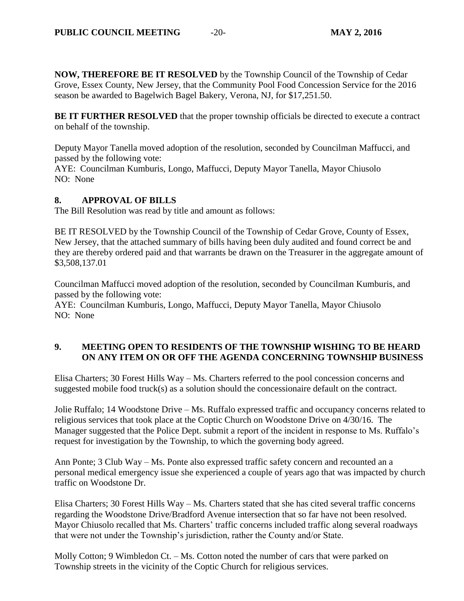**NOW, THEREFORE BE IT RESOLVED** by the Township Council of the Township of Cedar Grove, Essex County, New Jersey, that the Community Pool Food Concession Service for the 2016 season be awarded to Bagelwich Bagel Bakery, Verona, NJ, for \$17,251.50.

**BE IT FURTHER RESOLVED** that the proper township officials be directed to execute a contract on behalf of the township.

Deputy Mayor Tanella moved adoption of the resolution, seconded by Councilman Maffucci, and passed by the following vote:

AYE: Councilman Kumburis, Longo, Maffucci, Deputy Mayor Tanella, Mayor Chiusolo NO: None

# **8. APPROVAL OF BILLS**

The Bill Resolution was read by title and amount as follows:

BE IT RESOLVED by the Township Council of the Township of Cedar Grove, County of Essex, New Jersey, that the attached summary of bills having been duly audited and found correct be and they are thereby ordered paid and that warrants be drawn on the Treasurer in the aggregate amount of \$3,508,137.01

Councilman Maffucci moved adoption of the resolution, seconded by Councilman Kumburis, and passed by the following vote:

AYE: Councilman Kumburis, Longo, Maffucci, Deputy Mayor Tanella, Mayor Chiusolo NO: None

# **9. MEETING OPEN TO RESIDENTS OF THE TOWNSHIP WISHING TO BE HEARD ON ANY ITEM ON OR OFF THE AGENDA CONCERNING TOWNSHIP BUSINESS**

Elisa Charters; 30 Forest Hills Way – Ms. Charters referred to the pool concession concerns and suggested mobile food truck(s) as a solution should the concessionaire default on the contract.

Jolie Ruffalo; 14 Woodstone Drive – Ms. Ruffalo expressed traffic and occupancy concerns related to religious services that took place at the Coptic Church on Woodstone Drive on 4/30/16. The Manager suggested that the Police Dept. submit a report of the incident in response to Ms. Ruffalo's request for investigation by the Township, to which the governing body agreed.

Ann Ponte; 3 Club Way – Ms. Ponte also expressed traffic safety concern and recounted an a personal medical emergency issue she experienced a couple of years ago that was impacted by church traffic on Woodstone Dr.

Elisa Charters; 30 Forest Hills Way – Ms. Charters stated that she has cited several traffic concerns regarding the Woodstone Drive/Bradford Avenue intersection that so far have not been resolved. Mayor Chiusolo recalled that Ms. Charters' traffic concerns included traffic along several roadways that were not under the Township's jurisdiction, rather the County and/or State.

Molly Cotton; 9 Wimbledon Ct. – Ms. Cotton noted the number of cars that were parked on Township streets in the vicinity of the Coptic Church for religious services.